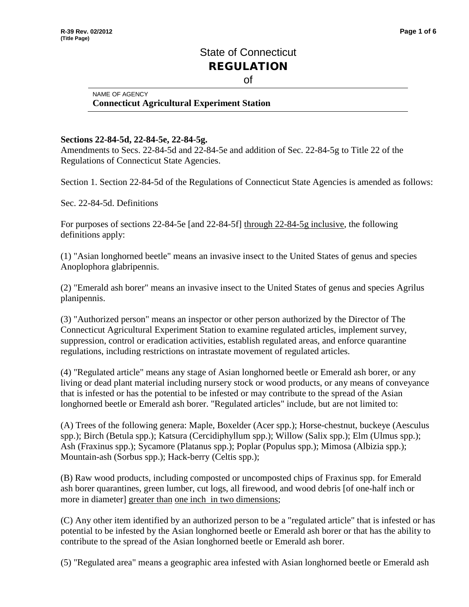## State of Connecticut REGULATION of

## NAME OF AGENCY **Connecticut Agricultural Experiment Station**

## **Sections 22-84-5d, 22-84-5e, 22-84-5g.**

Amendments to Secs. 22-84-5d and 22-84-5e and addition of Sec. 22-84-5g to Title 22 of the Regulations of Connecticut State Agencies.

Section 1. Section 22-84-5d of the Regulations of Connecticut State Agencies is amended as follows:

Sec. 22-84-5d. Definitions

For purposes of sections 22-84-5e [and 22-84-5f] through 22-84-5g inclusive, the following definitions apply:

(1) "Asian longhorned beetle" means an invasive insect to the United States of genus and species Anoplophora glabripennis.

(2) "Emerald ash borer" means an invasive insect to the United States of genus and species Agrilus planipennis.

(3) "Authorized person" means an inspector or other person authorized by the Director of The Connecticut Agricultural Experiment Station to examine regulated articles, implement survey, suppression, control or eradication activities, establish regulated areas, and enforce quarantine regulations, including restrictions on intrastate movement of regulated articles.

(4) "Regulated article" means any stage of Asian longhorned beetle or Emerald ash borer, or any living or dead plant material including nursery stock or wood products, or any means of conveyance that is infested or has the potential to be infested or may contribute to the spread of the Asian longhorned beetle or Emerald ash borer. "Regulated articles" include, but are not limited to:

(A) Trees of the following genera: Maple, Boxelder (Acer spp.); Horse-chestnut, buckeye (Aesculus spp.); Birch (Betula spp.); Katsura (Cercidiphyllum spp.); Willow (Salix spp.); Elm (Ulmus spp.); Ash (Fraxinus spp.); Sycamore (Platanus spp.); Poplar (Populus spp.); Mimosa (Albizia spp.); Mountain-ash (Sorbus spp.); Hack-berry (Celtis spp.);

(B) Raw wood products, including composted or uncomposted chips of Fraxinus spp. for Emerald ash borer quarantines, green lumber, cut logs, all firewood, and wood debris [of one-half inch or more in diameter] greater than one inch in two dimensions;

(C) Any other item identified by an authorized person to be a "regulated article" that is infested or has potential to be infested by the Asian longhorned beetle or Emerald ash borer or that has the ability to contribute to the spread of the Asian longhorned beetle or Emerald ash borer.

(5) "Regulated area" means a geographic area infested with Asian longhorned beetle or Emerald ash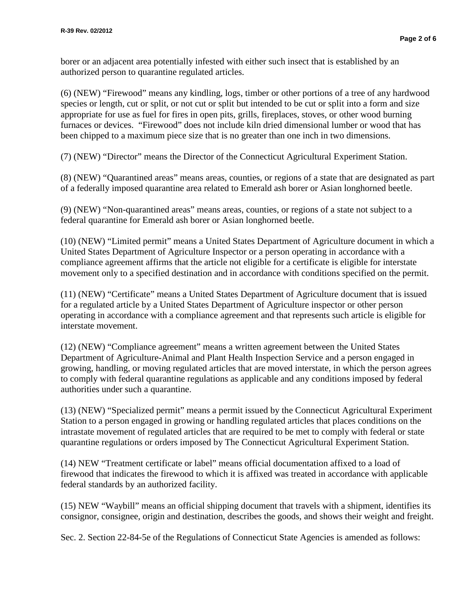borer or an adjacent area potentially infested with either such insect that is established by an authorized person to quarantine regulated articles.

(6) (NEW) "Firewood" means any kindling, logs, timber or other portions of a tree of any hardwood species or length, cut or split, or not cut or split but intended to be cut or split into a form and size appropriate for use as fuel for fires in open pits, grills, fireplaces, stoves, or other wood burning furnaces or devices. "Firewood" does not include kiln dried dimensional lumber or wood that has been chipped to a maximum piece size that is no greater than one inch in two dimensions.

(7) (NEW) "Director" means the Director of the Connecticut Agricultural Experiment Station.

(8) (NEW) "Quarantined areas" means areas, counties, or regions of a state that are designated as part of a federally imposed quarantine area related to Emerald ash borer or Asian longhorned beetle.

(9) (NEW) "Non-quarantined areas" means areas, counties, or regions of a state not subject to a federal quarantine for Emerald ash borer or Asian longhorned beetle.

(10) (NEW) "Limited permit" means a United States Department of Agriculture document in which a United States Department of Agriculture Inspector or a person operating in accordance with a compliance agreement affirms that the article not eligible for a certificate is eligible for interstate movement only to a specified destination and in accordance with conditions specified on the permit.

(11) (NEW) "Certificate" means a United States Department of Agriculture document that is issued for a regulated article by a United States Department of Agriculture inspector or other person operating in accordance with a compliance agreement and that represents such article is eligible for interstate movement.

(12) (NEW) "Compliance agreement" means a written agreement between the United States Department of Agriculture-Animal and Plant Health Inspection Service and a person engaged in growing, handling, or moving regulated articles that are moved interstate, in which the person agrees to comply with federal quarantine regulations as applicable and any conditions imposed by federal authorities under such a quarantine.

(13) (NEW) "Specialized permit" means a permit issued by the Connecticut Agricultural Experiment Station to a person engaged in growing or handling regulated articles that places conditions on the intrastate movement of regulated articles that are required to be met to comply with federal or state quarantine regulations or orders imposed by The Connecticut Agricultural Experiment Station.

(14) NEW "Treatment certificate or label" means official documentation affixed to a load of firewood that indicates the firewood to which it is affixed was treated in accordance with applicable federal standards by an authorized facility.

(15) NEW "Waybill" means an official [shipping](http://www.businessdictionary.com/definition/shipper.html) [document](http://www.businessdictionary.com/definition/document.html) that [travels](http://www.businessdictionary.com/definition/travel.html) with a shipment, identifies its [consignor,](http://www.businessdictionary.com/definition/consignor.html) [consignee,](http://www.businessdictionary.com/definition/consignee.html) origin and destination, describes the [goods,](http://www.businessdictionary.com/definition/goods.html) and shows their [weight](http://www.businessdictionary.com/definition/weight.html) and [freight.](http://www.businessdictionary.com/definition/freight.html)

Sec. 2. Section 22-84-5e of the Regulations of Connecticut State Agencies is amended as follows: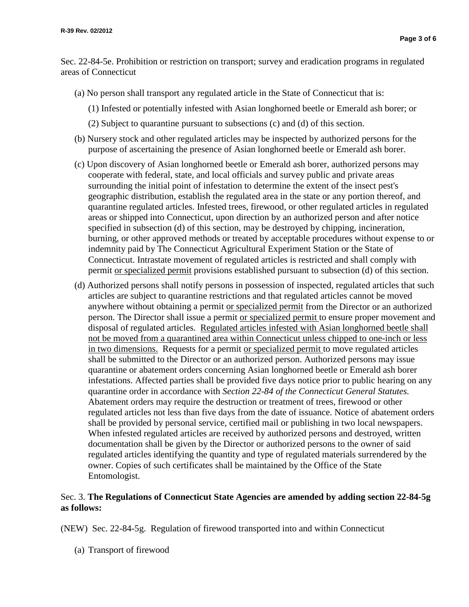Sec. 22-84-5e. Prohibition or restriction on transport; survey and eradication programs in regulated areas of Connecticut

- (a) No person shall transport any regulated article in the State of Connecticut that is:
	- (1) Infested or potentially infested with Asian longhorned beetle or Emerald ash borer; or
	- (2) Subject to quarantine pursuant to subsections (c) and (d) of this section.
- (b) Nursery stock and other regulated articles may be inspected by authorized persons for the purpose of ascertaining the presence of Asian longhorned beetle or Emerald ash borer.
- (c) Upon discovery of Asian longhorned beetle or Emerald ash borer, authorized persons may cooperate with federal, state, and local officials and survey public and private areas surrounding the initial point of infestation to determine the extent of the insect pest's geographic distribution, establish the regulated area in the state or any portion thereof, and quarantine regulated articles. Infested trees, firewood, or other regulated articles in regulated areas or shipped into Connecticut, upon direction by an authorized person and after notice specified in subsection (d) of this section, may be destroyed by chipping, incineration, burning, or other approved methods or treated by acceptable procedures without expense to or indemnity paid by The Connecticut Agricultural Experiment Station or the State of Connecticut. Intrastate movement of regulated articles is restricted and shall comply with permit or specialized permit provisions established pursuant to subsection (d) of this section.
- (d) Authorized persons shall notify persons in possession of inspected, regulated articles that such articles are subject to quarantine restrictions and that regulated articles cannot be moved anywhere without obtaining a permit or specialized permit from the Director or an authorized person. The Director shall issue a permit or specialized permit to ensure proper movement and disposal of regulated articles. Regulated articles infested with Asian longhorned beetle shall not be moved from a quarantined area within Connecticut unless chipped to one-inch or less in two dimensions. Requests for a permit or specialized permit to move regulated articles shall be submitted to the Director or an authorized person. Authorized persons may issue quarantine or abatement orders concerning Asian longhorned beetle or Emerald ash borer infestations. Affected parties shall be provided five days notice prior to public hearing on any quarantine order in accordance with *Section 22-84 of the Connecticut General Statutes.* Abatement orders may require the destruction or treatment of trees, firewood or other regulated articles not less than five days from the date of issuance. Notice of abatement orders shall be provided by personal service, certified mail or publishing in two local newspapers. When infested regulated articles are received by authorized persons and destroyed, written documentation shall be given by the Director or authorized persons to the owner of said regulated articles identifying the quantity and type of regulated materials surrendered by the owner. Copies of such certificates shall be maintained by the Office of the State Entomologist.

## Sec. 3. **The Regulations of Connecticut State Agencies are amended by adding section 22-84-5g as follows:**

(NEW) Sec. 22-84-5g. Regulation of firewood transported into and within Connecticut

(a) Transport of firewood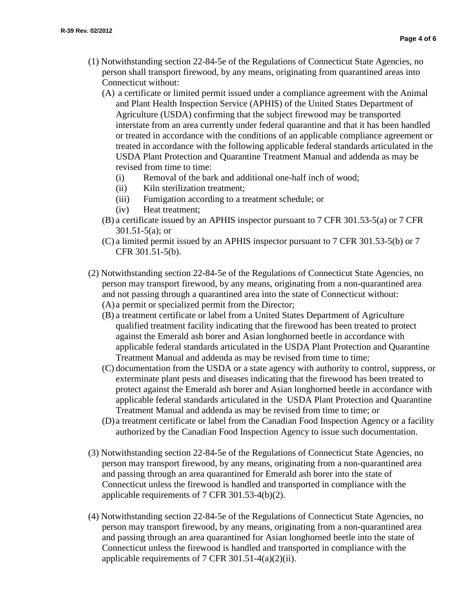- (1) Notwithstanding section 22-84-5e of the Regulations of Connecticut State Agencies, no person shall transport firewood, by any means, originating from quarantined areas into Connecticut without:
	- (A) a certificate or limited permit issued under a compliance agreement with the Animal and Plant Health Inspection Service (APHIS) of the United States Department of Agriculture (USDA) confirming that the subject firewood may be transported interstate from an area currently under federal quarantine and that it has been handled or treated in accordance with the conditions of an applicable compliance agreement or treated in accordance with the following applicable federal standards articulated in the USDA Plant Protection and Quarantine Treatment Manual and addenda as may be revised from time to time:
		- (i) Removal of the bark and additional one-half inch of wood;
		- (ii) Kiln sterilization treatment;
		- (iii) Fumigation according to a treatment schedule; or
		- (iv) Heat treatment;
	- (B) a certificate issued by an APHIS inspector pursuant to 7 CFR 301.53-5(a) or 7 CFR 301.51-5(a); or
	- (C) a limited permit issued by an APHIS inspector pursuant to 7 CFR 301.53-5(b) or 7 CFR 301.51-5(b).
- (2) Notwithstanding section 22-84-5e of the Regulations of Connecticut State Agencies, no person may transport firewood, by any means, originating from a non-quarantined area and not passing through a quarantined area into the state of Connecticut without: (A) a permit or specialized permit from the Director;
	- (B) a treatment certificate or label from a United States Department of Agriculture qualified treatment facility indicating that the firewood has been treated to protect against the Emerald ash borer and Asian longhorned beetle in accordance with applicable federal standards articulated in the USDA Plant Protection and Quarantine Treatment Manual and addenda as may be revised from time to time;
	- (C) documentation from the USDA or a state agency with authority to control, suppress, or exterminate plant pests and diseases indicating that the firewood has been treated to protect against the Emerald ash borer and Asian longhorned beetle in accordance with applicable federal standards articulated in the USDA Plant Protection and Quarantine Treatment Manual and addenda as may be revised from time to time; or
	- (D) a treatment certificate or label from the Canadian Food Inspection Agency or a facility authorized by the Canadian Food Inspection Agency to issue such documentation.
- (3) Notwithstanding section 22-84-5e of the Regulations of Connecticut State Agencies, no person may transport firewood, by any means, originating from a non-quarantined area and passing through an area quarantined for Emerald ash borer into the state of Connecticut unless the firewood is handled and transported in compliance with the applicable requirements of 7 CFR 301.53-4(b)(2).
- (4) Notwithstanding section 22-84-5e of the Regulations of Connecticut State Agencies, no person may transport firewood, by any means, originating from a non-quarantined area and passing through an area quarantined for Asian longhorned beetle into the state of Connecticut unless the firewood is handled and transported in compliance with the applicable requirements of 7 CFR 301.51-4(a)(2)(ii).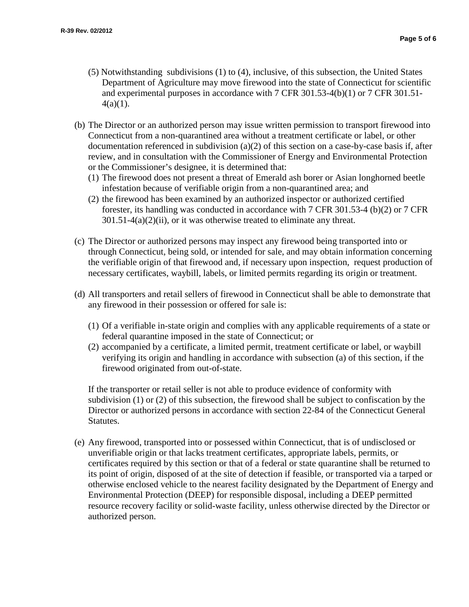- (5) Notwithstanding subdivisions (1) to (4), inclusive, of this subsection, the United States Department of Agriculture may move firewood into the state of Connecticut for scientific and experimental purposes in accordance with 7 CFR 301.53-4(b)(1) or 7 CFR 301.51-  $4(a)(1)$ .
- (b) The Director or an authorized person may issue written permission to transport firewood into Connecticut from a non-quarantined area without a treatment certificate or label, or other documentation referenced in subdivision (a)(2) of this section on a case-by-case basis if, after review, and in consultation with the Commissioner of Energy and Environmental Protection or the Commissioner's designee, it is determined that:
	- (1) The firewood does not present a threat of Emerald ash borer or Asian longhorned beetle infestation because of verifiable origin from a non-quarantined area; and
	- (2) the firewood has been examined by an authorized inspector or authorized certified forester, its handling was conducted in accordance with 7 CFR 301.53-4 (b)(2) or 7 CFR  $301.51-4(a)(2)(ii)$ , or it was otherwise treated to eliminate any threat.
- (c) The Director or authorized persons may inspect any firewood being transported into or through Connecticut, being sold, or intended for sale, and may obtain information concerning the verifiable origin of that firewood and, if necessary upon inspection, request production of necessary certificates, waybill, labels, or limited permits regarding its origin or treatment.
- (d) All transporters and retail sellers of firewood in Connecticut shall be able to demonstrate that any firewood in their possession or offered for sale is:
	- (1) Of a verifiable in-state origin and complies with any applicable requirements of a state or federal quarantine imposed in the state of Connecticut; or
	- (2) accompanied by a certificate, a limited permit, treatment certificate or label, or waybill verifying its origin and handling in accordance with subsection (a) of this section, if the firewood originated from out-of-state.

If the transporter or retail seller is not able to produce evidence of conformity with subdivision (1) or (2) of this subsection, the firewood shall be subject to confiscation by the Director or authorized persons in accordance with section 22-84 of the Connecticut General Statutes.

(e) Any firewood, transported into or possessed within Connecticut, that is of undisclosed or unverifiable origin or that lacks treatment certificates, appropriate labels, permits, or certificates required by this section or that of a federal or state quarantine shall be returned to its point of origin, disposed of at the site of detection if feasible, or transported via a tarped or otherwise enclosed vehicle to the nearest facility designated by the Department of Energy and Environmental Protection (DEEP) for responsible disposal, including a DEEP permitted resource recovery facility or solid-waste facility, unless otherwise directed by the Director or authorized person.